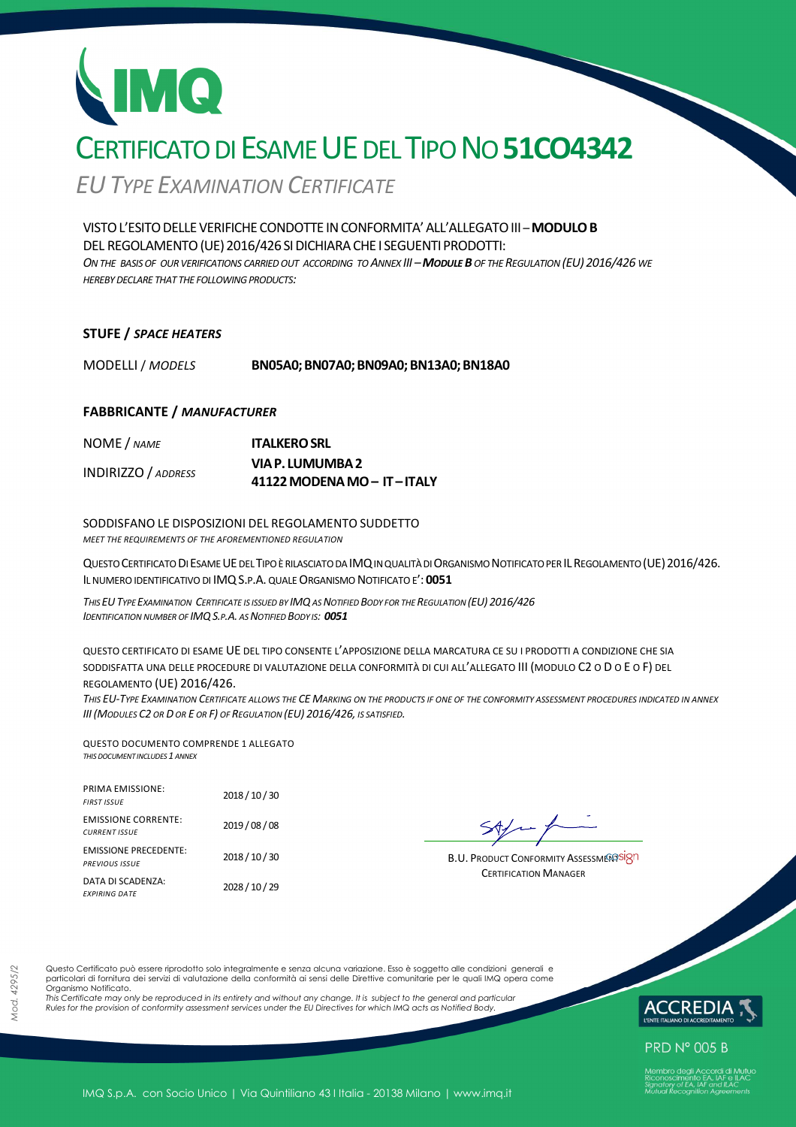## CERTIFICATO DI ESAME UE DEL TIPO NO **51CO4342**

*EUTYPE EXAMINATION CERTIFICATE*

VISTOL'ESITODELLEVERIFICHECONDOTTE INCONFORMITA'ALL'ALLEGATOIII *–***MODULOB** DEL REGOLAMENTO (UE) 2016/426 SI DICHIARA CHE I SEGUENTI PRODOTTI: *ON THE BASIS OF OUR VERIFICATIONS CARRIED OUT ACCORDING TO ANNEX III –MODULE B OF THE REGULATION (EU) 2016/426 WE HEREBY DECLARE THAT THE FOLLOWING PRODUCTS:*

#### **STUFE /** *SPACE HEATERS*

MODELLI / *MODELS* **BN05A0;BN07A0;BN09A0;BN13A0;BN18A0** 

#### **FABBRICANTE /** *MANUFACTURER*

| NOME / NAME                | <b>ITALKERO SRL</b>      |
|----------------------------|--------------------------|
| <b>INDIRIZZO</b> / ADDRESS | VIA P. LUMUMBA 2         |
|                            | 41122 MODENA MO-IT-ITALY |

SODDISFANO LE DISPOSIZIONI DEL REGOLAMENTO SUDDETTO *MEET THE REQUIREMENTS OF THE AFOREMENTIONED REGULATION*

QUESTO CERTIFICATO DI ESAME UE DEL TIPO È RILASCIATO DA IMQ IN QUALITÀ DI ORGANISMO NOTIFICATO PER IL REGOLAMENTO (UE) 2016/426. IL NUMERO IDENTIFICATIVO DI IMQS.P.A. QUALE ORGANISMO NOTIFICATO E': **0051** 

THIS EU TYPE EXAMINATION CERTIFICATE IS ISSUED BY IMQ AS NOTIFIED BODY FOR THE REGULATION (EU) 2016/426 *IDENTIFICATION NUMBER OF IMQS.P.A. AS NOTIFIED BODY IS: 0051*

QUESTO CERTIFICATO DI ESAME UE DEL TIPO CONSENTE L'APPOSIZIONE DELLA MARCATURA CE SU I PRODOTTI A CONDIZIONE CHE SIA SODDISFATTA UNA DELLE PROCEDURE DI VALUTAZIONE DELLA CONFORMITÀ DI CUI ALL'ALLEGATO III (MODULO C2 O D O E O F) DEL REGOLAMENTO (UE) 2016/426.

*THIS EU-TYPE EXAMINATION CERTIFICATE ALLOWS THE CE MARKING ON THE PRODUCTS IF ONE OF THE CONFORMITY ASSESSMENT PROCEDURES INDICATED IN ANNEX III(MODULES C2 OR D OR E OR F) OF REGULATION (EU) 2016/426, IS SATISFIED.* 

QUESTO DOCUMENTO COMPRENDE 1 ALLEGATO *THIS DOCUMENT INCLUDES 1 ANNEX*

| <b>PRIMA EMISSIONE:</b><br><b>FIRST ISSUE</b>         | 2018 / 10 / 30 |
|-------------------------------------------------------|----------------|
| <b>EMISSIONE CORRENTE:</b><br><b>CURRENT ISSUE</b>    | 2019 / 08 / 08 |
| <b>EMISSIONE PRECEDENTE:</b><br><b>PREVIOUS ISSUE</b> | 2018 / 10 / 30 |
| DATA DI SCADENZA:<br><b>FXPIRING DATE</b>             | 2028 / 10 / 29 |

**B.U. PRODUCT CONFORMITY ASSESSMERSSION** CERTIFICATION MANAGER

Questo Certificato può essere riprodotto solo integralmente e senza alcuna variazione. Esso è soggetto alle condizioni generali e particolari di fornitura dei servizi di valutazione della conformità ai sensi delle Direttive comunitarie per le quali IMQ opera come Organismo Notificato.

*This Certificate may only be reproduced in its entirety and without any change. It is subject to the general and particular Rules for the provision of conformity assessment services under the EU Directives for which IMQ acts as Notified Body.* 



**PRD N° 005 B**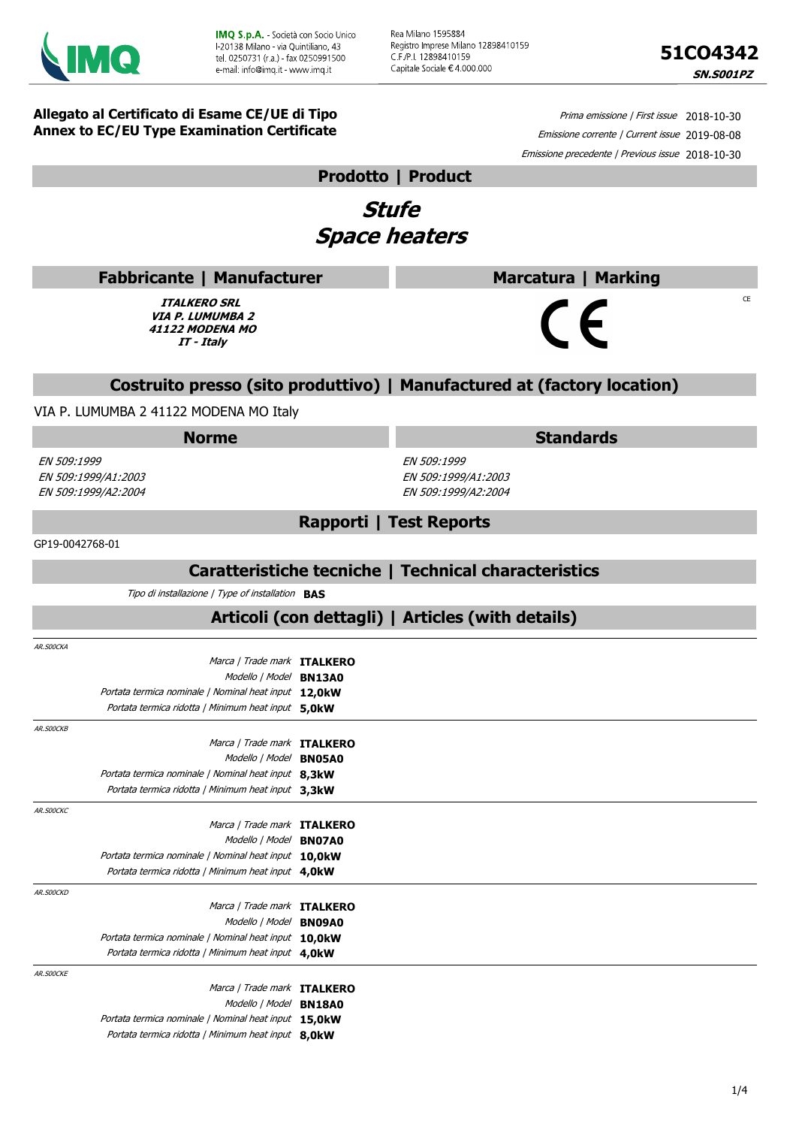

Rea Milano 1595884 Registro Imprese Milano 12898410159 C F /P I. 12898410159 Capitale Sociale € 4.000.000



CE

**Allegato al Certificato di Esame CE/UE di Tipo Annex to EC/EU Type Examination Certificate**

Prima emissione | First issue 2018-10-30 Emissione corrente | Current issue 2019-08-08 Emissione precedente | Previous issue 2018-10-30

**Marcatura | Marking**

#### **Prodotto | Product**

### **Stufe Space heaters**

| <b>Fabbricante   Manufacturer</b> |  |
|-----------------------------------|--|
|-----------------------------------|--|

**ITALKERO SRL VIA P. LUMUMBA 2 41122 MODENA MO IT - Italy**

# $\epsilon$

#### **Costruito presso (sito produttivo) | Manufactured at (factory location)**

VIA P. LUMUMBA 2 41122 MODENA MO Italy

#### **Norme Standards**

EN 509:1999 EN 509:1999/A1:2003 EN 509:1999/A2:2004

EN 509:1999 EN 509:1999/A1:2003 EN 509:1999/A2:2004

#### GP19-0042768-01

#### **Caratteristiche tecniche | Technical characteristics**

**Rapporti | Test Reports**

Tipo di installazione | Type of installation **BAS**

#### **Articoli (con dettagli) | Articles (with details)**

| AR.SOOCKA |                                                      |  |
|-----------|------------------------------------------------------|--|
|           | Marca / Trade mark ITALKERO                          |  |
|           | Modello   Model BN13A0                               |  |
|           | Portata termica nominale / Nominal heat input 12,0kW |  |
|           | Portata termica ridotta   Minimum heat input 5,0kW   |  |
| AR.SOOCKB |                                                      |  |
|           | Marca / Trade mark ITALKERO                          |  |
|           | Modello   Model BN05A0                               |  |
|           | Portata termica nominale   Nominal heat input 8.3kW  |  |
|           | Portata termica ridotta   Minimum heat input 3.3kW   |  |
| AR.SOOCKC |                                                      |  |
|           | Marca / Trade mark ITALKERO                          |  |
|           | Modello   Model BN07A0                               |  |
|           | Portata termica nominale   Nominal heat input 10,0kW |  |
|           | Portata termica ridotta   Minimum heat input 4,0kW   |  |
| AR.SOOCKD |                                                      |  |
|           | Marca / Trade mark ITALKERO                          |  |
|           | Modello   Model BN09A0                               |  |
|           | Portata termica nominale   Nominal heat input 10,0kW |  |
|           | Portata termica ridotta   Minimum heat input 4,0kW   |  |
| AR.SOOCKE |                                                      |  |
|           | Marca / Trade mark ITALKERO                          |  |
|           | Modello   Model BN18A0                               |  |
|           | Portata termica nominale   Nominal heat input 15,0kW |  |
|           | Portata termica ridotta   Minimum heat input 8,0kW   |  |
|           |                                                      |  |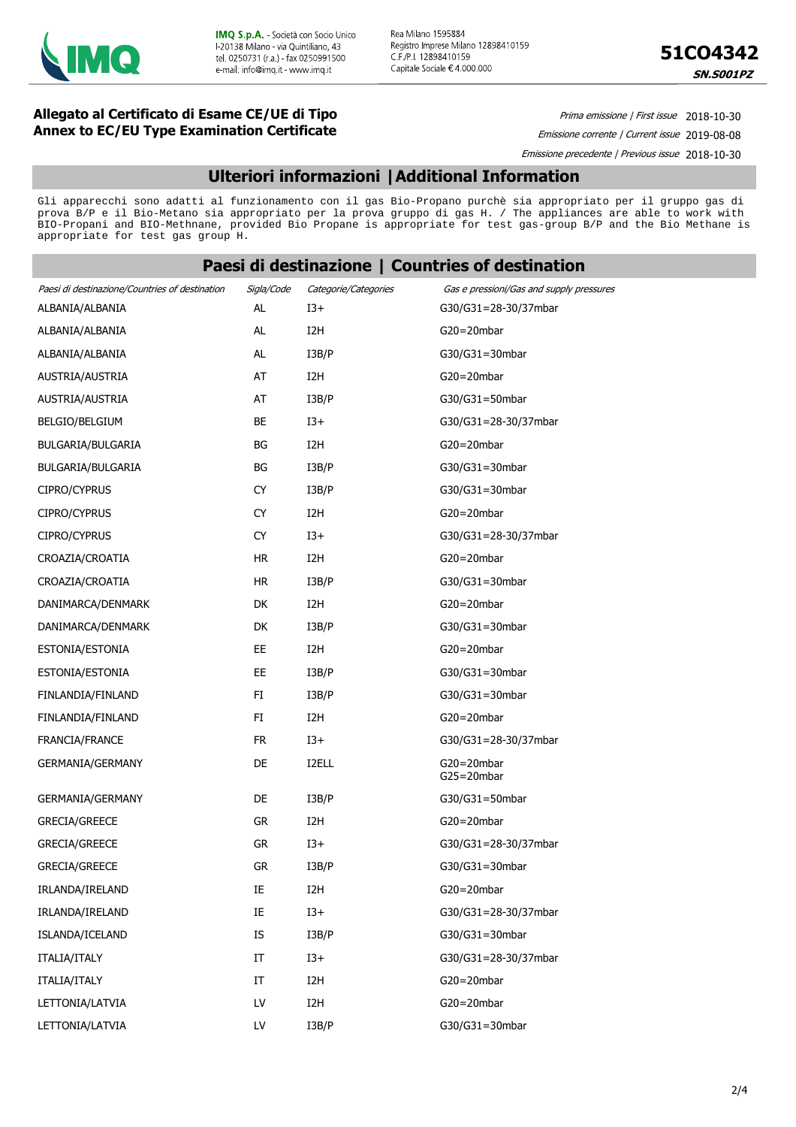

Rea Milano 1595884 Registro Imprese Milano 12898410159 C.F./P.I. 12898410159 Capitale Sociale €4 000.000



#### **Allegato al Certificato di Esame CE/UE di Tipo Annex to EC/EU Type Examination Certificate**

Prima emissione | First issue 2018-10-30

Emissione corrente | Current issue 2019-08-08 Emissione precedente | Previous issue 2018-10-30

#### **Ulteriori informazioni |Additional Information**

Gli apparecchi sono adatti al funzionamento con il gas Bio-Propano purchè sia appropriato per il gruppo gas di prova B/P e il Bio-Metano sia appropriato per la prova gruppo di gas H. / The appliances are able to work with BIO-Propani and BIO-Methnane, provided Bio Propane is appropriate for test gas-group B/P and the Bio Methane is appropriate for test gas group H.

#### **Paesi di destinazione | Countries of destination**

| Paesi di destinazione/Countries of destination | Sigla/Code | Categorie/Categories | Gas e pressioni/Gas and supply pressures |
|------------------------------------------------|------------|----------------------|------------------------------------------|
| ALBANIA/ALBANIA                                | AL         | $13+$                | G30/G31=28-30/37mbar                     |
| ALBANIA/ALBANIA                                | AL         | I <sub>2</sub> H     | $G20 = 20$ mbar                          |
| ALBANIA/ALBANIA                                | AL         | I3B/P                | G30/G31=30mbar                           |
| AUSTRIA/AUSTRIA                                | AT         | I <sub>2</sub> H     | $G20 = 20$ mbar                          |
| AUSTRIA/AUSTRIA                                | AT         | I3B/P                | G30/G31=50mbar                           |
| BELGIO/BELGIUM                                 | BE         | $13+$                | G30/G31=28-30/37mbar                     |
| BULGARIA/BULGARIA                              | ΒG         | I <sub>2</sub> H     | $G20 = 20$ mbar                          |
| BULGARIA/BULGARIA                              | BG         | I3B/P                | G30/G31=30mbar                           |
| CIPRO/CYPRUS                                   | <b>CY</b>  | I3B/P                | G30/G31=30mbar                           |
| CIPRO/CYPRUS                                   | <b>CY</b>  | I <sub>2</sub> H     | $G20 = 20$ mbar                          |
| CIPRO/CYPRUS                                   | <b>CY</b>  | $I3+$                | G30/G31=28-30/37mbar                     |
| CROAZIA/CROATIA                                | HR.        | I <sub>2</sub> H     | $G20 = 20$ mbar                          |
| CROAZIA/CROATIA                                | <b>HR</b>  | I3B/P                | G30/G31=30mbar                           |
| DANIMARCA/DENMARK                              | DK         | I2H                  | $G20 = 20$ mbar                          |
| DANIMARCA/DENMARK                              | DK         | I3B/P                | G30/G31=30mbar                           |
| ESTONIA/ESTONIA                                | EE         | I <sub>2</sub> H     | $G20 = 20$ mbar                          |
| ESTONIA/ESTONIA                                | EE         | I3B/P                | G30/G31=30mbar                           |
| FINLANDIA/FINLAND                              | FI         | I3B/P                | G30/G31=30mbar                           |
| FINLANDIA/FINLAND                              | FI         | I <sub>2</sub> H     | $G20 = 20mbar$                           |
| FRANCIA/FRANCE                                 | <b>FR</b>  | $13+$                | G30/G31=28-30/37mbar                     |
| <b>GERMANIA/GERMANY</b>                        | DE         | I2ELL                | $G20 = 20mbar$<br>$G25 = 20mbar$         |
| GERMANIA/GERMANY                               | DE         | I3B/P                | G30/G31=50mbar                           |
| <b>GRECIA/GREECE</b>                           | <b>GR</b>  | I2H                  | $G20 = 20$ mbar                          |
| GRECIA/GREECE                                  | GR         | $13+$                | G30/G31=28-30/37mbar                     |
| <b>GRECIA/GREECE</b>                           | GR         | I3B/P                | G30/G31=30mbar                           |
| IRLANDA/IRELAND                                | IE         | I <sub>2</sub> H     | $G20 = 20mbar$                           |
| IRLANDA/IRELAND                                | $\rm IE$   | $13+$                | G30/G31=28-30/37mbar                     |
| ISLANDA/ICELAND                                | IS         | I3B/P                | G30/G31=30mbar                           |
| ITALIA/ITALY                                   | IT         | $13+$                | G30/G31=28-30/37mbar                     |
| ITALIA/ITALY                                   | $\rm{IT}$  | I <sub>2</sub> H     | $G20 = 20mbar$                           |
| LETTONIA/LATVIA                                | LV         | I <sub>2</sub> H     | $G20 = 20mbar$                           |
| LETTONIA/LATVIA                                | LV         | I3B/P                | G30/G31=30mbar                           |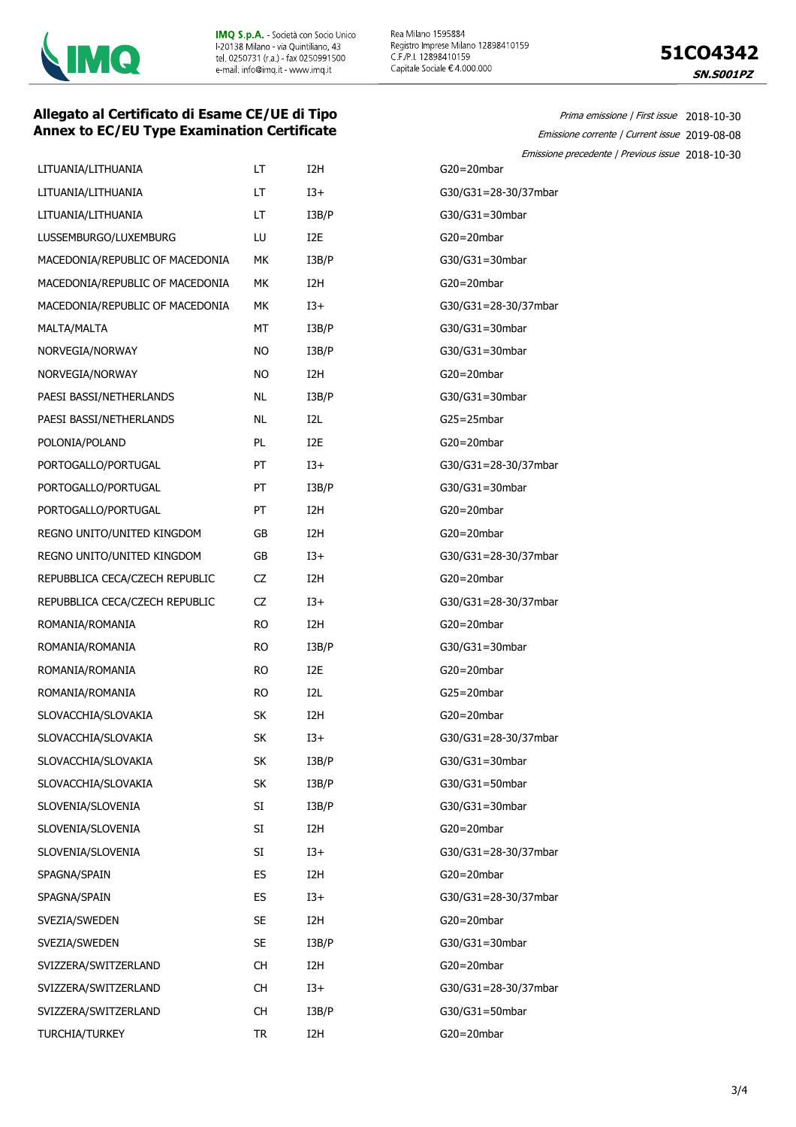



Prima emissione | First issue 2018-10-30 Emissione corrente | Current issue 2019-08-08

#### **Allegato al Certificato di Esame CE/UE di Tipo Annex to EC/EU Type Examination Certificate**

|                                 |           |                  | Emissione precedente   Previous issue 2018-10-30 |
|---------------------------------|-----------|------------------|--------------------------------------------------|
| LITUANIA/LITHUANIA              | LT.       | I <sub>2</sub> H | $G20 = 20$ mbar                                  |
| LITUANIA/LITHUANIA              | LT        | $I3+$            | G30/G31=28-30/37mbar                             |
| LITUANIA/LITHUANIA              | LT.       | I3B/P            | G30/G31=30mbar                                   |
| LUSSEMBURGO/LUXEMBURG           | LU        | I <sub>2</sub> E | G20=20mbar                                       |
| MACEDONIA/REPUBLIC OF MACEDONIA | МK        | I3B/P            | G30/G31=30mbar                                   |
| MACEDONIA/REPUBLIC OF MACEDONIA | МK        | I <sub>2</sub> H | $G20 = 20$ mbar                                  |
| MACEDONIA/REPUBLIC OF MACEDONIA | МK        | $I3+$            | G30/G31=28-30/37mbar                             |
| MALTA/MALTA                     | МT        | I3B/P            | $G30/G31 = 30mbar$                               |
| NORVEGIA/NORWAY                 | <b>NO</b> | I3B/P            | G30/G31=30mbar                                   |
| NORVEGIA/NORWAY                 | <b>NO</b> | I <sub>2</sub> H | $G20 = 20$ mbar                                  |
| PAESI BASSI/NETHERLANDS         | <b>NL</b> | I3B/P            | $G30/G31 = 30mbar$                               |
| PAESI BASSI/NETHERLANDS         | <b>NL</b> | I2L              | $G25 = 25$ mbar                                  |
| POLONIA/POLAND                  | PL        | I <sub>2</sub> E | $G20 = 20$ mbar                                  |
| PORTOGALLO/PORTUGAL             | PT        | $I3+$            | G30/G31=28-30/37mbar                             |
| PORTOGALLO/PORTUGAL             | PT        | I3B/P            | G30/G31=30mbar                                   |
| PORTOGALLO/PORTUGAL             | PT        | I <sub>2</sub> H | $G20 = 20$ mbar                                  |
| REGNO UNITO/UNITED KINGDOM      | GB        | I <sub>2</sub> H | $G20 = 20$ mbar                                  |
| REGNO UNITO/UNITED KINGDOM      | GB        | $I3+$            | G30/G31=28-30/37mbar                             |
| REPUBBLICA CECA/CZECH REPUBLIC  | CZ        | I <sub>2</sub> H | $G20 = 20$ mbar                                  |
| REPUBBLICA CECA/CZECH REPUBLIC  | CZ        | $I3+$            | G30/G31=28-30/37mbar                             |
| ROMANIA/ROMANIA                 | <b>RO</b> | I <sub>2</sub> H | $G20 = 20mbar$                                   |
| ROMANIA/ROMANIA                 | <b>RO</b> | I3B/P            | G30/G31=30mbar                                   |
| ROMANIA/ROMANIA                 | <b>RO</b> | I <sub>2</sub> E | $G20 = 20$ mbar                                  |
| ROMANIA/ROMANIA                 | <b>RO</b> | I <sub>2</sub> L | G25=20mbar                                       |
| SLOVACCHIA/SLOVAKIA             | <b>SK</b> | I <sub>2</sub> H | $G20 = 20$ mbar                                  |
| SLOVACCHIA/SLOVAKIA             | SK        | $I3+$            | G30/G31=28-30/37mbar                             |
| SLOVACCHIA/SLOVAKIA             | SK        | I3B/P            | G30/G31=30mbar                                   |
| SLOVACCHIA/SLOVAKIA             | SK        | I3B/P            | $G30/G31 = 50mbar$                               |
| SLOVENIA/SLOVENIA               | SI        | I3B/P            | $G30/G31 = 30mbar$                               |
| SLOVENIA/SLOVENIA               | SI        | I <sub>2</sub> H | $G20 = 20mbar$                                   |
| SLOVENIA/SLOVENIA               | SI        | $13+$            | G30/G31=28-30/37mbar                             |
| SPAGNA/SPAIN                    | ES        | I <sub>2</sub> H | $G20 = 20mbar$                                   |
| SPAGNA/SPAIN                    | ES        | $I3+$            | G30/G31=28-30/37mbar                             |
| SVEZIA/SWEDEN                   | <b>SE</b> | I <sub>2</sub> H | $G20 = 20mbar$                                   |
| SVEZIA/SWEDEN                   | <b>SE</b> | I3B/P            | G30/G31=30mbar                                   |
| SVIZZERA/SWITZERLAND            | <b>CH</b> | I <sub>2</sub> H | $G20 = 20mbar$                                   |
| SVIZZERA/SWITZERLAND            | <b>CH</b> | $I3+$            | G30/G31=28-30/37mbar                             |
| SVIZZERA/SWITZERLAND            | CH        | I3B/P            | G30/G31=50mbar                                   |
| TURCHIA/TURKEY                  | <b>TR</b> | I <sub>2</sub> H | G20=20mbar                                       |